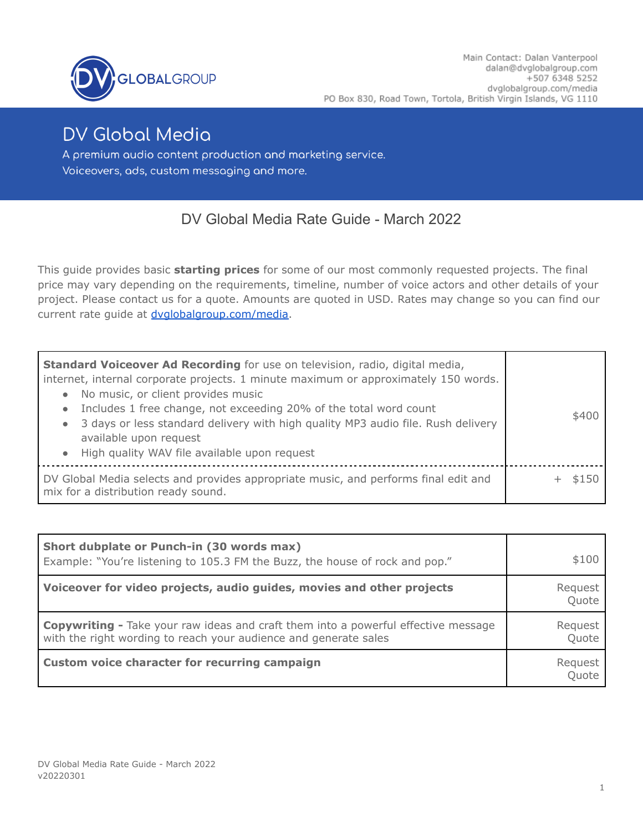

# **DV Global Media**

A premium audio content production and marketing service. Voiceovers, ads, custom messaging and more.

# DV Global Media Rate Guide - March 2022

This guide provides basic **starting prices** for some of our most commonly requested projects. The final price may vary depending on the requirements, timeline, number of voice actors and other details of your project. Please contact us for a quote. Amounts are quoted in USD. Rates may change so you can find our current rate guide at [dvglobalgroup.com/media.](http://dvglobalgroup.com/media)

| Standard Voiceover Ad Recording for use on television, radio, digital media,<br>internet, internal corporate projects. 1 minute maximum or approximately 150 words.<br>No music, or client provides music<br>$\bullet$<br>Includes 1 free change, not exceeding 20% of the total word count<br>$\bullet$<br>3 days or less standard delivery with high quality MP3 audio file. Rush delivery<br>$\bullet$<br>available upon request<br>• High quality WAV file available upon request | \$400 |
|---------------------------------------------------------------------------------------------------------------------------------------------------------------------------------------------------------------------------------------------------------------------------------------------------------------------------------------------------------------------------------------------------------------------------------------------------------------------------------------|-------|
| DV Global Media selects and provides appropriate music, and performs final edit and<br>mix for a distribution ready sound.                                                                                                                                                                                                                                                                                                                                                            | \$150 |

| Short dubplate or Punch-in (30 words max)<br>Example: "You're listening to 105.3 FM the Buzz, the house of rock and pop."                                     | \$100            |
|---------------------------------------------------------------------------------------------------------------------------------------------------------------|------------------|
| Voiceover for video projects, audio guides, movies and other projects                                                                                         | Reguest<br>Quote |
| <b>Copywriting -</b> Take your raw ideas and craft them into a powerful effective message<br>with the right wording to reach your audience and generate sales | Request<br>Quote |
| Custom voice character for recurring campaign                                                                                                                 | Reguest<br>Ouote |